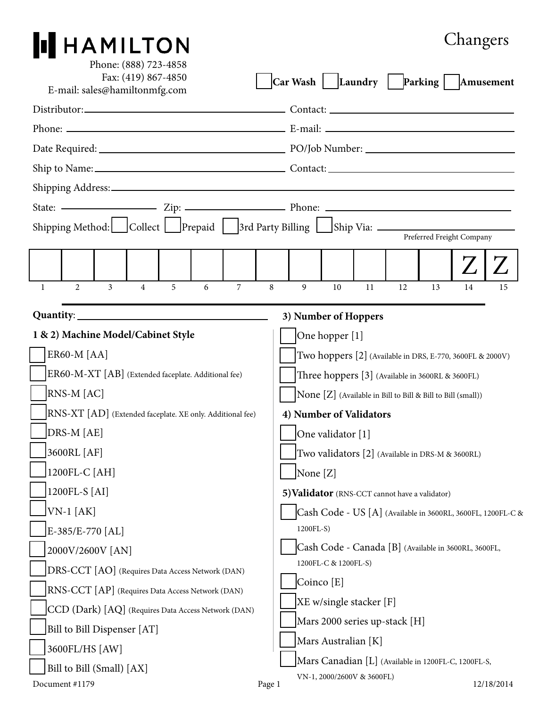## **PHAMILTON**

## Changers

| Phone: (888) 723-4858<br>Fax: (419) 867-4850                                      |                    |  |                |                | Car Wash   Laundry   Parking   Amusement |                                                                                   |                                                  |        |                                                           |                |    |    |    |    |            |
|-----------------------------------------------------------------------------------|--------------------|--|----------------|----------------|------------------------------------------|-----------------------------------------------------------------------------------|--------------------------------------------------|--------|-----------------------------------------------------------|----------------|----|----|----|----|------------|
| E-mail: sales@hamiltonmfg.com                                                     |                    |  |                |                |                                          |                                                                                   |                                                  |        |                                                           |                |    |    |    |    |            |
|                                                                                   |                    |  |                |                |                                          |                                                                                   |                                                  |        |                                                           |                |    |    |    |    |            |
|                                                                                   |                    |  |                |                |                                          |                                                                                   |                                                  |        |                                                           |                |    |    |    |    |            |
|                                                                                   |                    |  |                |                |                                          |                                                                                   |                                                  |        |                                                           |                |    |    |    |    |            |
|                                                                                   |                    |  |                |                |                                          |                                                                                   |                                                  |        |                                                           |                |    |    |    |    |            |
|                                                                                   |                    |  |                |                |                                          |                                                                                   |                                                  |        |                                                           |                |    |    |    |    |            |
|                                                                                   |                    |  |                |                |                                          |                                                                                   |                                                  |        |                                                           |                |    |    |    |    |            |
| Shipping Method: Collect Prepaid 3rd Party Billing Ship Via: ____________________ |                    |  |                |                |                                          |                                                                                   |                                                  |        |                                                           |                |    |    |    |    |            |
|                                                                                   |                    |  |                |                |                                          |                                                                                   |                                                  |        | Preferred Freight Company                                 |                |    |    |    |    |            |
|                                                                                   |                    |  |                |                |                                          |                                                                                   |                                                  |        |                                                           |                |    |    |    |    |            |
| $\mathbf{1}$                                                                      | $\mathfrak{D}$     |  | $\overline{3}$ | $\overline{4}$ | 5                                        | 6                                                                                 | $\overline{7}$                                   | 8      | 9                                                         | 10             | 11 | 12 | 13 | 14 | 15         |
| 3) Number of Hoppers                                                              |                    |  |                |                |                                          |                                                                                   |                                                  |        |                                                           |                |    |    |    |    |            |
|                                                                                   |                    |  |                |                | 1 & 2) Machine Model/Cabinet Style       |                                                                                   |                                                  |        |                                                           | One hopper [1] |    |    |    |    |            |
|                                                                                   | <b>ER60-M [AA]</b> |  |                |                |                                          |                                                                                   |                                                  |        | Two hoppers [2] (Available in DRS, E-770, 3600FL & 2000V) |                |    |    |    |    |            |
|                                                                                   |                    |  |                |                |                                          |                                                                                   |                                                  |        | Three hoppers [3] (Available in 3600RL & 3600FL)          |                |    |    |    |    |            |
| ER60-M-XT [AB] (Extended faceplate. Additional fee)<br>RNS-M [AC]                 |                    |  |                |                |                                          | None [Z] (Available in Bill to Bill & Bill to Bill (small))                       |                                                  |        |                                                           |                |    |    |    |    |            |
| RNS-XT [AD] (Extended faceplate. XE only. Additional fee)                         |                    |  |                |                |                                          | 4) Number of Validators                                                           |                                                  |        |                                                           |                |    |    |    |    |            |
| DRS-M [AE]                                                                        |                    |  |                |                |                                          | One validator [1]                                                                 |                                                  |        |                                                           |                |    |    |    |    |            |
| 3600RL [AF]                                                                       |                    |  |                |                |                                          |                                                                                   | Two validators [2] (Available in DRS-M & 3600RL) |        |                                                           |                |    |    |    |    |            |
| 1200FL-C [AH]                                                                     |                    |  |                |                |                                          |                                                                                   | None [Z]                                         |        |                                                           |                |    |    |    |    |            |
| 1200FL-S [AI]                                                                     |                    |  |                |                |                                          | 5) Validator (RNS-CCT cannot have a validator)                                    |                                                  |        |                                                           |                |    |    |    |    |            |
| $VN-1$ [AK]                                                                       |                    |  |                |                |                                          | Cash Code - US [A] (Available in 3600RL, 3600FL, 1200FL-C &                       |                                                  |        |                                                           |                |    |    |    |    |            |
| E-385/E-770 [AL]                                                                  |                    |  |                |                |                                          | 1200FL-S)                                                                         |                                                  |        |                                                           |                |    |    |    |    |            |
| 2000V/2600V [AN]                                                                  |                    |  |                |                |                                          | Cash Code - Canada [B] (Available in 3600RL, 3600FL,                              |                                                  |        |                                                           |                |    |    |    |    |            |
| DRS-CCT [AO] (Requires Data Access Network (DAN)                                  |                    |  |                |                |                                          | 1200FL-C & 1200FL-S)                                                              |                                                  |        |                                                           |                |    |    |    |    |            |
| RNS-CCT [AP] (Requires Data Access Network (DAN)                                  |                    |  |                |                |                                          | Coinco [E]                                                                        |                                                  |        |                                                           |                |    |    |    |    |            |
| CCD (Dark) [AQ] (Requires Data Access Network (DAN)                               |                    |  |                |                |                                          | [XE w/single stacker [F]                                                          |                                                  |        |                                                           |                |    |    |    |    |            |
| Bill to Bill Dispenser [AT]                                                       |                    |  |                |                |                                          | Mars 2000 series up-stack [H]                                                     |                                                  |        |                                                           |                |    |    |    |    |            |
| 3600FL/HS [AW]                                                                    |                    |  |                |                |                                          | Mars Australian [K]                                                               |                                                  |        |                                                           |                |    |    |    |    |            |
| Bill to Bill (Small) [AX]                                                         |                    |  |                |                |                                          | Mars Canadian [L] (Available in 1200FL-C, 1200FL-S,<br>VN-1, 2000/2600V & 3600FL) |                                                  |        |                                                           |                |    |    |    |    |            |
|                                                                                   | Document #1179     |  |                |                |                                          |                                                                                   |                                                  | Page 1 |                                                           |                |    |    |    |    | 12/18/2014 |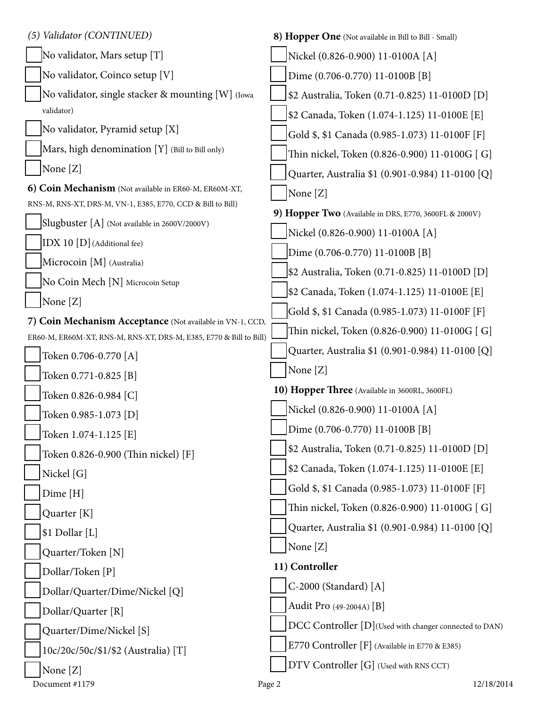| (5) Validator (CONTINUED)                                          | 8) Hopper One (Not available in Bill to Bill - Small)  |
|--------------------------------------------------------------------|--------------------------------------------------------|
| No validator, Mars setup [T]                                       | Nickel (0.826-0.900) 11-0100A [A]                      |
| No validator, Coinco setup [V]                                     | Dime (0.706-0.770) 11-0100B [B]                        |
| No validator, single stacker & mounting [W] (Iowa                  | \$2 Australia, Token (0.71-0.825) 11-0100D [D]         |
| validator)                                                         | \$2 Canada, Token (1.074-1.125) 11-0100E [E]           |
| No validator, Pyramid setup [X]                                    | Gold \$, \$1 Canada (0.985-1.073) 11-0100F [F]         |
| Mars, high denomination [Y] (Bill to Bill only)                    | Thin nickel, Token (0.826-0.900) 11-0100G [ G]         |
| None [Z]                                                           | Quarter, Australia \$1 (0.901-0.984) 11-0100 [Q]       |
| 6) Coin Mechanism (Not available in ER60-M, ER60M-XT,              | None [Z]                                               |
| RNS-M, RNS-XT, DRS-M, VN-1, E385, E770, CCD & Bill to Bill)        | 9) Hopper Two (Available in DRS, E770, 3600FL & 2000V) |
| Slugbuster [A] (Not available in 2600V/2000V)                      | Nickel (0.826-0.900) 11-0100A [A]                      |
| IDX 10 [D] (Additional fee)                                        | Dime (0.706-0.770) 11-0100B [B]                        |
| Microcoin [M] (Australia)                                          | \$2 Australia, Token (0.71-0.825) 11-0100D [D]         |
| No Coin Mech [N] Microcoin Setup                                   | \$2 Canada, Token (1.074-1.125) 11-0100E [E]           |
| None [Z]                                                           | Gold \$, \$1 Canada (0.985-1.073) 11-0100F [F]         |
| 7) Coin Mechanism Acceptance (Not available in VN-1, CCD,          | Thin nickel, Token (0.826-0.900) 11-0100G [ G]         |
| ER60-M, ER60M-XT, RNS-M, RNS-XT, DRS-M, E385, E770 & Bill to Bill) | Quarter, Australia \$1 (0.901-0.984) 11-0100 [Q]       |
| Token 0.706-0.770 [A]                                              | None [Z]                                               |
| Token 0.771-0.825 [B]                                              |                                                        |
| Token 0.826-0.984 [C]                                              | 10) Hopper Three (Available in 3600RL, 3600FL)         |
| Token 0.985-1.073 [D]                                              | Nickel (0.826-0.900) 11-0100A [A]                      |
| Token 1.074-1.125 [E]                                              | Dime (0.706-0.770) 11-0100B [B]                        |
| Token 0.826-0.900 (Thin nickel) [F]                                | \$2 Australia, Token (0.71-0.825) 11-0100D [D]         |
| Nickel [G]                                                         | \$2 Canada, Token (1.074-1.125) 11-0100E [E]           |
| Dime [H]                                                           | Gold \$, \$1 Canada (0.985-1.073) 11-0100F [F]         |
| Quarter [K]                                                        | Thin nickel, Token (0.826-0.900) 11-0100G [G]          |
| \$1 Dollar [L]                                                     | Quarter, Australia \$1 (0.901-0.984) 11-0100 [Q]       |
| Quarter/Token [N]                                                  | None [Z]                                               |
| Dollar/Token [P]                                                   | 11) Controller                                         |
| Dollar/Quarter/Dime/Nickel [Q]                                     | C-2000 (Standard) [A]                                  |
| Dollar/Quarter [R]                                                 | Audit Pro (49-2004A) [B]                               |
| Quarter/Dime/Nickel [S]                                            | DCC Controller [D](Used with changer connected to DAN) |
| 10c/20c/50c/\$1/\$2 (Australia) [T]                                | E770 Controller [F] (Available in E770 & E385)         |
| None [Z]                                                           | DTV Controller [G] (Used with RNS CCT)                 |
| Document #1179                                                     | 12/18/2014<br>Page 2                                   |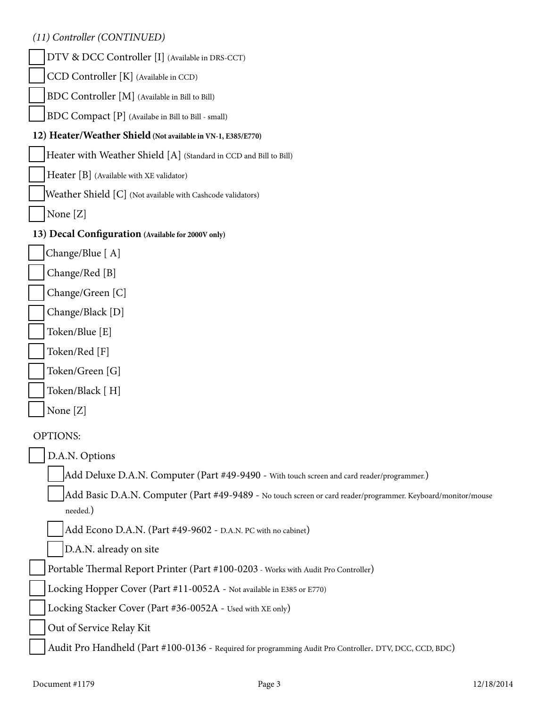|  | (11) Controller (CONTINUED) |
|--|-----------------------------|
|--|-----------------------------|

| (11) Controller (CONTINUED)                                                                                              |  |
|--------------------------------------------------------------------------------------------------------------------------|--|
| DTV & DCC Controller [I] (Available in DRS-CCT)                                                                          |  |
| CCD Controller [K] (Available in CCD)                                                                                    |  |
| BDC Controller [M] (Available in Bill to Bill)                                                                           |  |
| BDC Compact [P] (Availabe in Bill to Bill - small)                                                                       |  |
| 12) Heater/Weather Shield (Not available in VN-1, E385/E770)                                                             |  |
| Heater with Weather Shield [A] (Standard in CCD and Bill to Bill)                                                        |  |
| Heater [B] (Available with XE validator)                                                                                 |  |
| Weather Shield [C] (Not available with Cashcode validators)                                                              |  |
| None [Z]                                                                                                                 |  |
| 13) Decal Configuration (Available for 2000V only)                                                                       |  |
| Change/Blue [A]                                                                                                          |  |
| Change/Red [B]                                                                                                           |  |
| Change/Green [C]                                                                                                         |  |
| Change/Black [D]                                                                                                         |  |
| Token/Blue [E]                                                                                                           |  |
| Token/Red [F]                                                                                                            |  |
| Token/Green [G]                                                                                                          |  |
| Token/Black [H]                                                                                                          |  |
| None $[Z]$                                                                                                               |  |
| <b>OPTIONS:</b>                                                                                                          |  |
| D.A.N. Options                                                                                                           |  |
| Add Deluxe D.A.N. Computer (Part #49-9490 - With touch screen and card reader/programmer.)                               |  |
| Add Basic D.A.N. Computer (Part #49-9489 - No touch screen or card reader/programmer. Keyboard/monitor/mouse<br>needed.) |  |
| Add Econo D.A.N. (Part #49-9602 - D.A.N. PC with no cabinet)                                                             |  |
| D.A.N. already on site                                                                                                   |  |
| Portable Thermal Report Printer (Part #100-0203 - Works with Audit Pro Controller)                                       |  |
| Locking Hopper Cover (Part #11-0052A - Not available in E385 or E770)                                                    |  |
| Locking Stacker Cover (Part #36-0052A - Used with XE only)                                                               |  |
| Out of Service Relay Kit                                                                                                 |  |
| Audit Pro Handheld (Part #100-0136 - Required for programming Audit Pro Controller. DTV, DCC, CCD, BDC)                  |  |